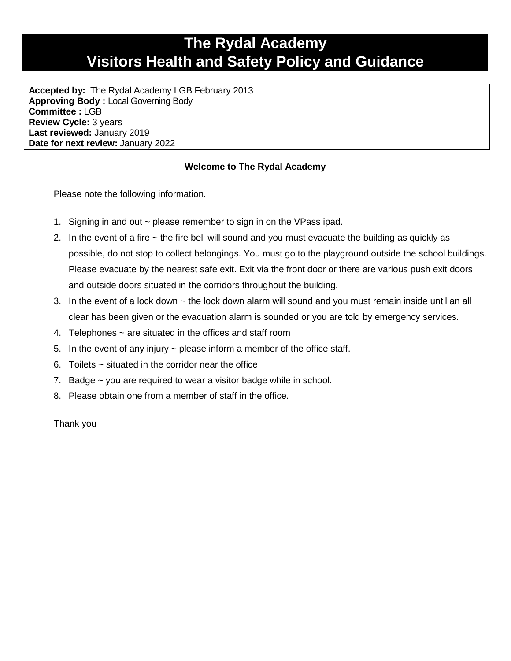## **The Rydal Academy Visitors Health and Safety Policy and Guidance**

**Accepted by:** The Rydal Academy LGB February 2013 **Approving Body :** Local Governing Body **Committee :** LGB **Review Cycle:** 3 years **Last reviewed:** January 2019 **Date for next review:** January 2022

## **Welcome to The Rydal Academy**

Please note the following information.

- 1. Signing in and out ~ please remember to sign in on the VPass ipad.
- 2. In the event of a fire ~ the fire bell will sound and you must evacuate the building as quickly as possible, do not stop to collect belongings. You must go to the playground outside the school buildings. Please evacuate by the nearest safe exit. Exit via the front door or there are various push exit doors and outside doors situated in the corridors throughout the building.
- 3. In the event of a lock down ~ the lock down alarm will sound and you must remain inside until an all clear has been given or the evacuation alarm is sounded or you are told by emergency services.
- 4. Telephones ~ are situated in the offices and staff room
- 5. In the event of any injury  $\sim$  please inform a member of the office staff.
- 6. Toilets ~ situated in the corridor near the office
- 7. Badge ~ you are required to wear a visitor badge while in school.
- 8. Please obtain one from a member of staff in the office.

Thank you